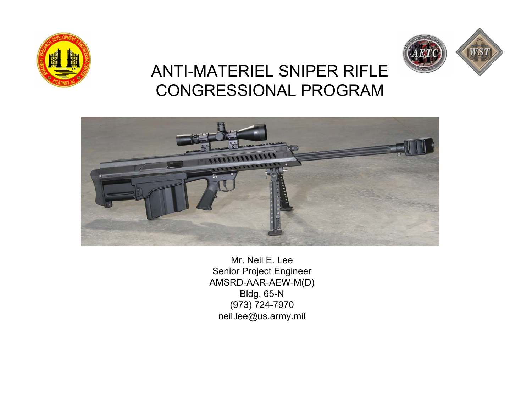



### ANTI-MATERIEL SNIPER RIFLE CONGRESSIONAL PROGRAM



Mr. Neil E. LeeSenior Project Engineer AMSRD-AAR-AEW-M(D) Bldg. 65-N (973) 724-7970 neil.lee@us.army.mil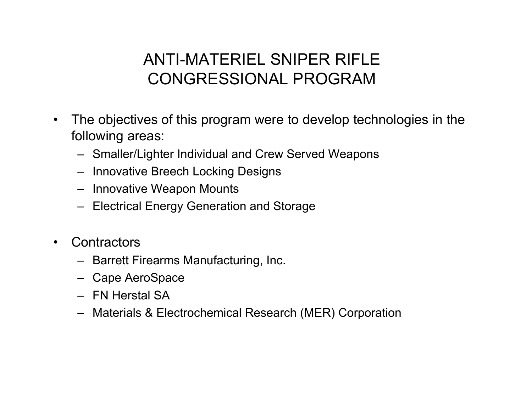### ANTI-MATERIEL SNIPER RIFLE CONGRESSIONAL PROGRAM

- $\bullet$  The objectives of this program were to develop technologies in the following areas:
	- Smaller/Lighter Individual and Crew Served Weapons
	- Innovative Breech Locking Designs
	- Innovative Weapon Mounts
	- Electrical Energy Generation and Storage
- $\bullet$ **Contractors** 
	- Barrett Firearms Manufacturing, Inc.
	- Cape AeroSpace
	- FN Herstal SA
	- Materials & Electrochemical Research (MER) Corporation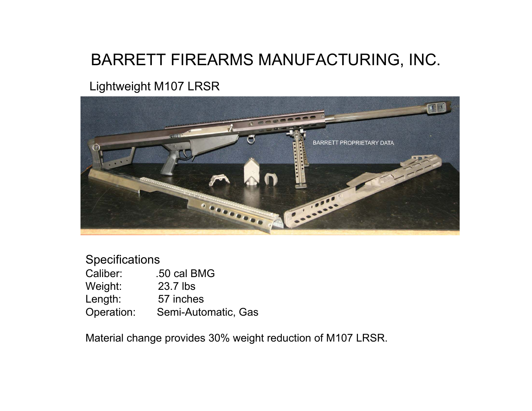### BARRETT FIREARMS MANUFACTURING, INC.

#### Lightweight M107 LRSR



| <b>Specifications</b> |                     |
|-----------------------|---------------------|
| Caliber:              | .50 cal BMG         |
| Weight:               | 23.7 lbs            |
| Length:               | 57 inches           |
| Operation:            | Semi-Automatic, Gas |

Material change provides 30% weight reduction of M107 LRSR.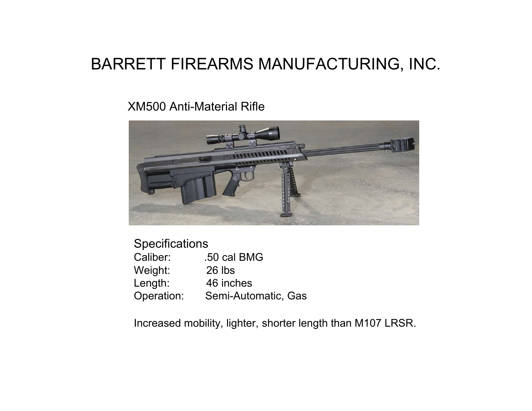#### BARRETT FIREARMS MANUFACTURING, INC.

#### XM500 Anti-Material Rifle



#### **Specifications**

| Caliber:   | .50 cal BMG         |
|------------|---------------------|
| Weight:    | 26 lbs              |
| Length:    | 46 inches           |
| Operation: | Semi-Automatic, Gas |

Increased mobility, lighter, shorter length than M107 LRSR.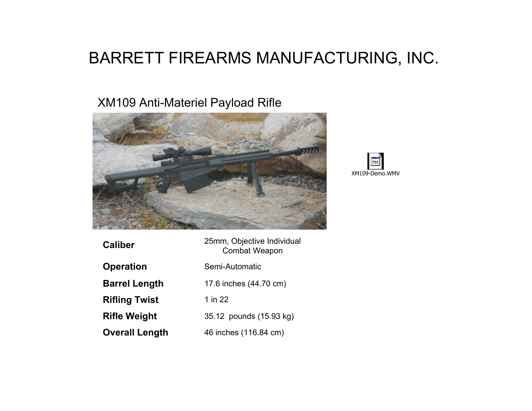### BARRETT FIREARMS MANUFACTURING, INC.

#### XM109 Anti-Materiel Payload Rifle





| Caliber              | 25mm, Objective Individual<br><b>Combat Weapon</b> |
|----------------------|----------------------------------------------------|
| Operation            | Semi-Automatic                                     |
| <b>Barrel Length</b> | 17.6 inches (44.70 cm)                             |
| <b>Rifling Twist</b> | 1 in 22                                            |
| Rifle Weight         | 35.12 pounds (15.93 kg)                            |
| Overall Length       | 46 inches (116.84 cm)                              |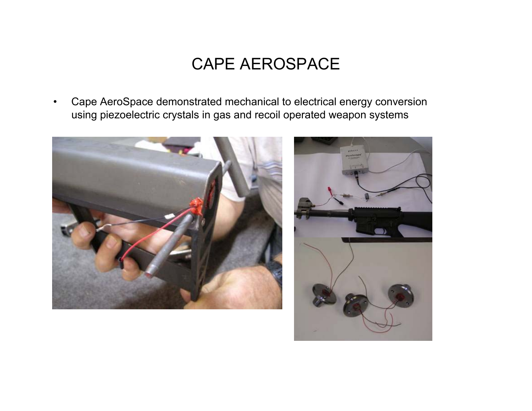#### CAPE AEROSPACE

• Cape AeroSpace demonstrated mechanical to electrical energy conversion using piezoelectric crystals in gas and recoil operated weapon systems



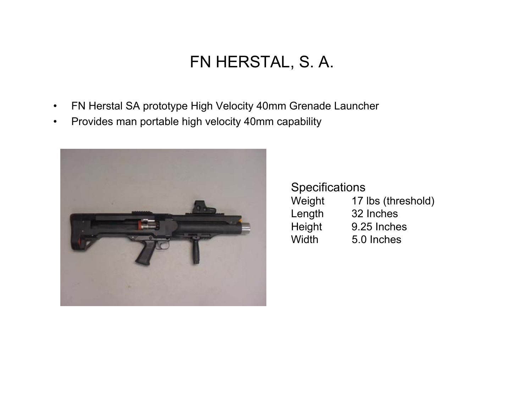### FN HERSTAL, S. A.

- •FN Herstal SA prototype High Velocity 40mm Grenade Launcher
- $\bullet$ Provides man portable high velocity 40mm capability



**Specifications** Weight 17 lbs (threshold) Length 32 Inches Height 9.25 Inches Width 5.0 Inches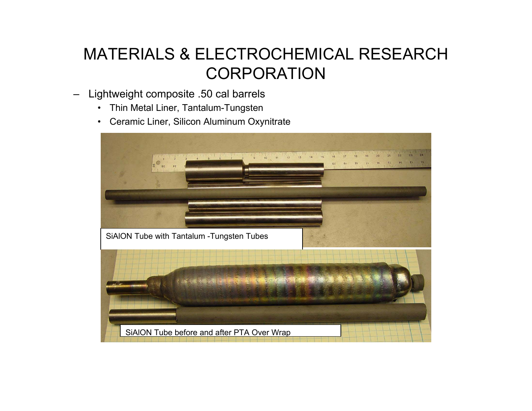### MATERIALS & ELECTROCHEMICAL RESEARCH **CORPORATION**

- – Lightweight composite .50 cal barrels
	- •Thin Metal Liner, Tantalum-Tungsten
	- •Ceramic Liner, Silicon Aluminum Oxynitrate